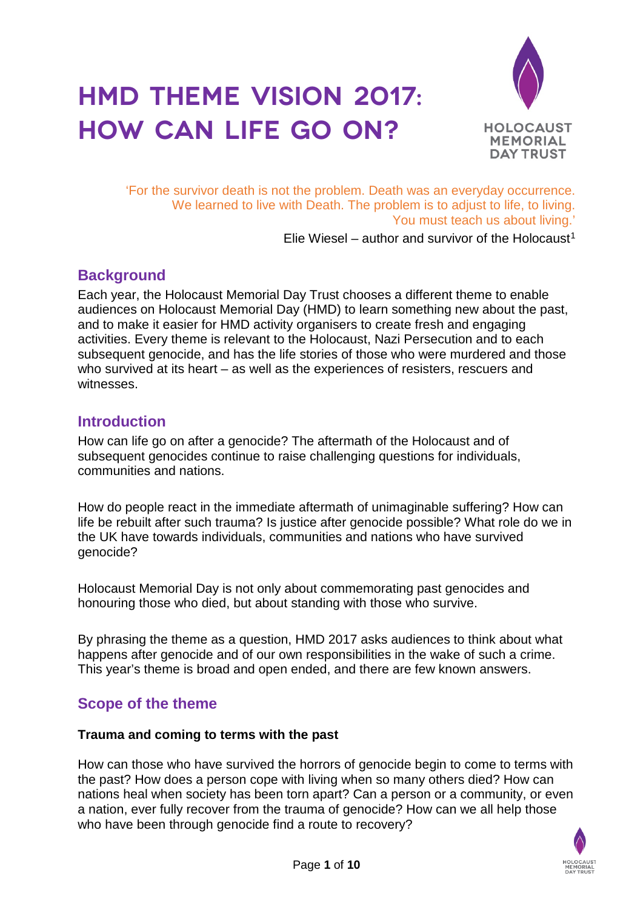# **HMD Theme vision 2017: How can life go on?**



'For the survivor death is not the problem. Death was an everyday occurrence. We learned to live with Death. The problem is to adjust to life, to living. You must teach us about living.'

Elie Wiesel – author and survivor of the Holocaust<sup>1</sup>

# **Background**

Each year, the Holocaust Memorial Day Trust chooses a different theme to enable audiences on Holocaust Memorial Day (HMD) to learn something new about the past, and to make it easier for HMD activity organisers to create fresh and engaging activities. Every theme is relevant to the Holocaust, Nazi Persecution and to each subsequent genocide, and has the life stories of those who were murdered and those who survived at its heart – as well as the experiences of resisters, rescuers and witnesses.

# **Introduction**

How can life go on after a genocide? The aftermath of the Holocaust and of subsequent genocides continue to raise challenging questions for individuals, communities and nations.

How do people react in the immediate aftermath of unimaginable suffering? How can life be rebuilt after such trauma? Is justice after genocide possible? What role do we in the UK have towards individuals, communities and nations who have survived genocide?

Holocaust Memorial Day is not only about commemorating past genocides and honouring those who died, but about standing with those who survive.

By phrasing the theme as a question, HMD 2017 asks audiences to think about what happens after genocide and of our own responsibilities in the wake of such a crime. This year's theme is broad and open ended, and there are few known answers.

# **Scope of the theme**

#### **Trauma and coming to terms with the past**

How can those who have survived the horrors of genocide begin to come to terms with the past? How does a person cope with living when so many others died? How can nations heal when society has been torn apart? Can a person or a community, or even a nation, ever fully recover from the trauma of genocide? How can we all help those who have been through genocide find a route to recovery?

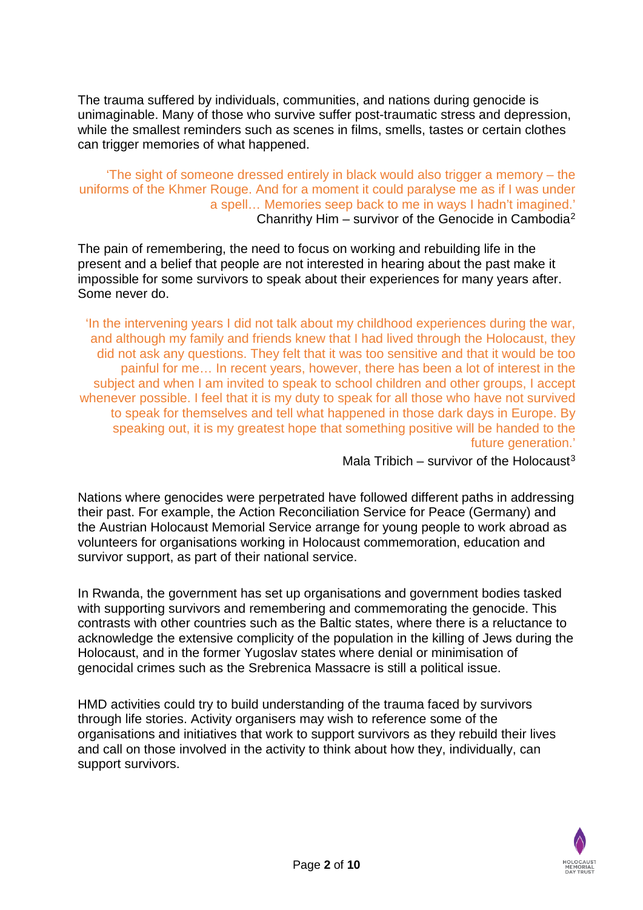The trauma suffered by individuals, communities, and nations during genocide is unimaginable. Many of those who survive suffer post-traumatic stress and depression, while the smallest reminders such as scenes in films, smells, tastes or certain clothes can trigger memories of what happened.

#### 'The sight of someone dressed entirely in black would also trigger a memory – the uniforms of the Khmer Rouge. And for a moment it could paralyse me as if I was under a spell… Memories seep back to me in ways I hadn't imagined.' Chanrithy Him – survivor of the Genocide in Cambodia<sup>2</sup>

The pain of remembering, the need to focus on working and rebuilding life in the present and a belief that people are not interested in hearing about the past make it impossible for some survivors to speak about their experiences for many years after. Some never do.

'In the intervening years I did not talk about my childhood experiences during the war, and although my family and friends knew that I had lived through the Holocaust, they did not ask any questions. They felt that it was too sensitive and that it would be too painful for me… In recent years, however, there has been a lot of interest in the subject and when I am invited to speak to school children and other groups, I accept whenever possible. I feel that it is my duty to speak for all those who have not survived to speak for themselves and tell what happened in those dark days in Europe. By speaking out, it is my greatest hope that something positive will be handed to the future generation.'

Mala Tribich – survivor of the Holocaust<sup>[3](#page-9-2)</sup>

Nations where genocides were perpetrated have followed different paths in addressing their past. For example, the Action Reconciliation Service for Peace (Germany) and the Austrian Holocaust Memorial Service arrange for young people to work abroad as volunteers for organisations working in Holocaust commemoration, education and survivor support, as part of their national service.

In Rwanda, the government has set up organisations and government bodies tasked with supporting survivors and remembering and commemorating the genocide. This contrasts with other countries such as the Baltic states, where there is a reluctance to acknowledge the extensive complicity of the population in the killing of Jews during the Holocaust, and in the former Yugoslav states where denial or minimisation of genocidal crimes such as the Srebrenica Massacre is still a political issue.

HMD activities could try to build understanding of the trauma faced by survivors through life stories. Activity organisers may wish to reference some of the organisations and initiatives that work to support survivors as they rebuild their lives and call on those involved in the activity to think about how they, individually, can support survivors.

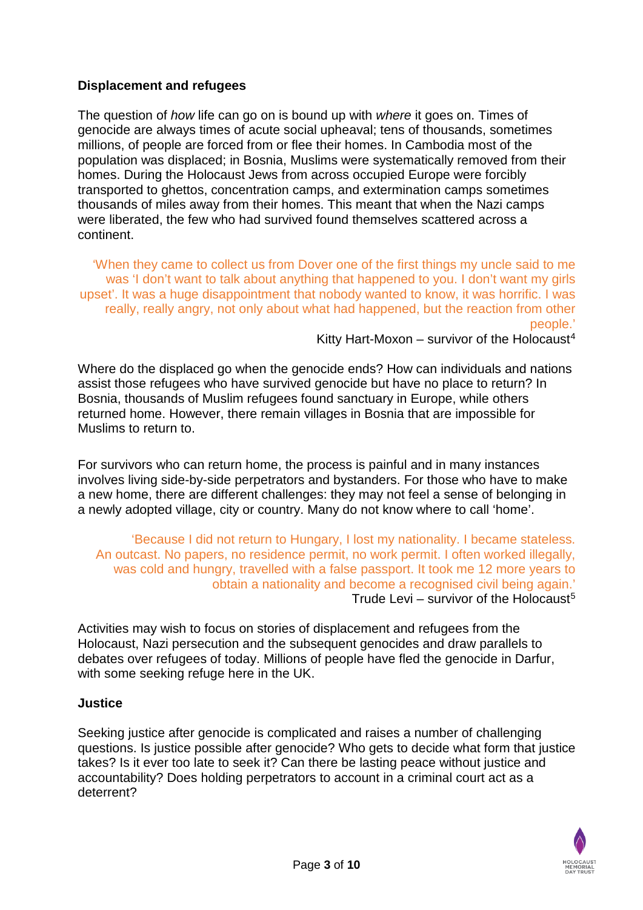## **Displacement and refugees**

The question of *how* life can go on is bound up with *where* it goes on. Times of genocide are always times of acute social upheaval; tens of thousands, sometimes millions, of people are forced from or flee their homes. In Cambodia most of the population was displaced; in Bosnia, Muslims were systematically removed from their homes. During the Holocaust Jews from across occupied Europe were forcibly transported to ghettos, concentration camps, and extermination camps sometimes thousands of miles away from their homes. This meant that when the Nazi camps were liberated, the few who had survived found themselves scattered across a continent.

'When they came to collect us from Dover one of the first things my uncle said to me was 'I don't want to talk about anything that happened to you. I don't want my girls upset'. It was a huge disappointment that nobody wanted to know, it was horrific. I was really, really angry, not only about what had happened, but the reaction from other people.'

Kitty Hart-Moxon – survivor of the Holocaust<sup>4</sup>

Where do the displaced go when the genocide ends? How can individuals and nations assist those refugees who have survived genocide but have no place to return? In Bosnia, thousands of Muslim refugees found sanctuary in Europe, while others returned home. However, there remain villages in Bosnia that are impossible for Muslims to return to.

For survivors who can return home, the process is painful and in many instances involves living side-by-side perpetrators and bystanders. For those who have to make a new home, there are different challenges: they may not feel a sense of belonging in a newly adopted village, city or country. Many do not know where to call 'home'.

'Because I did not return to Hungary, I lost my nationality. I became stateless. An outcast. No papers, no residence permit, no work permit. I often worked illegally, was cold and hungry, travelled with a false passport. It took me 12 more years to obtain a nationality and become a recognised civil being again.' Trude Levi – survivor of the Holocaust<sup>5</sup>

Activities may wish to focus on stories of displacement and refugees from the Holocaust, Nazi persecution and the subsequent genocides and draw parallels to debates over refugees of today. Millions of people have fled the genocide in Darfur, with some seeking refuge here in the UK.

#### **Justice**

Seeking justice after genocide is complicated and raises a number of challenging questions. Is justice possible after genocide? Who gets to decide what form that justice takes? Is it ever too late to seek it? Can there be lasting peace without justice and accountability? Does holding perpetrators to account in a criminal court act as a deterrent?

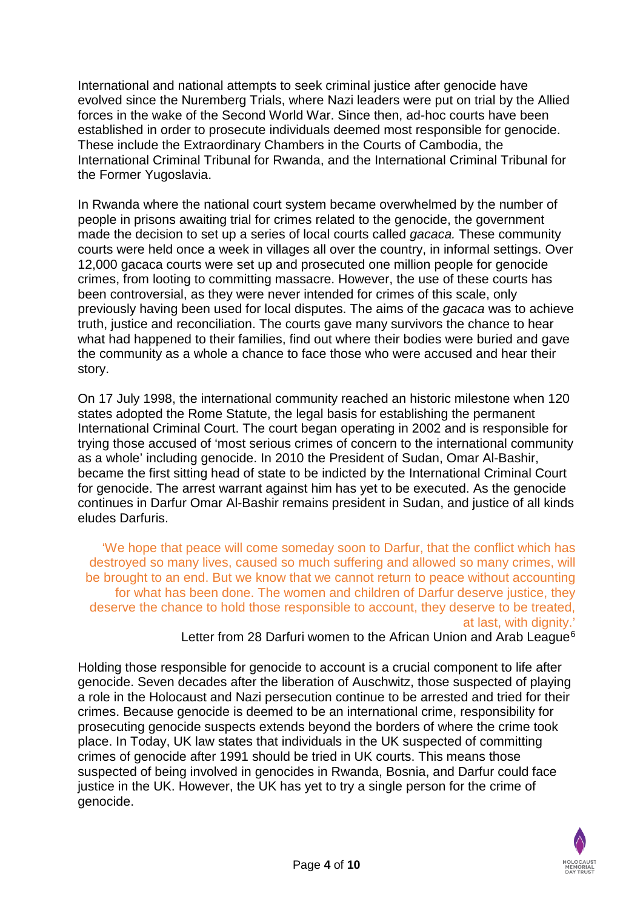International and national attempts to seek criminal justice after genocide have evolved since the Nuremberg Trials, where Nazi leaders were put on trial by the Allied forces in the wake of the Second World War. Since then, ad-hoc courts have been established in order to prosecute individuals deemed most responsible for genocide. These include the Extraordinary Chambers in the Courts of Cambodia, the International Criminal Tribunal for Rwanda, and the International Criminal Tribunal for the Former Yugoslavia.

In Rwanda where the national court system became overwhelmed by the number of people in prisons awaiting trial for crimes related to the genocide, the government made the decision to set up a series of local courts called *gacaca.* These community courts were held once a week in villages all over the country, in informal settings. Over 12,000 gacaca courts were set up and prosecuted one million people for genocide crimes, from looting to committing massacre. However, the use of these courts has been controversial, as they were never intended for crimes of this scale, only previously having been used for local disputes. The aims of the *gacaca* was to achieve truth, justice and reconciliation. The courts gave many survivors the chance to hear what had happened to their families, find out where their bodies were buried and gave the community as a whole a chance to face those who were accused and hear their story.

On 17 July 1998, the international community reached an historic milestone when 120 states adopted the Rome Statute, the legal basis for establishing the permanent International Criminal Court. The court began operating in 2002 and is responsible for trying those accused of 'most serious crimes of concern to the international community as a whole' including genocide. In 2010 the President of Sudan, Omar Al-Bashir, became the first sitting head of state to be indicted by the International Criminal Court for genocide. The arrest warrant against him has yet to be executed. As the genocide continues in Darfur Omar Al-Bashir remains president in Sudan, and justice of all kinds eludes Darfuris.

'We hope that peace will come someday soon to Darfur, that the conflict which has destroyed so many lives, caused so much suffering and allowed so many crimes, will be brought to an end. But we know that we cannot return to peace without accounting for what has been done. The women and children of Darfur deserve justice, they deserve the chance to hold those responsible to account, they deserve to be treated, at last, with dignity.'

Letter from 28 Darfuri women to the African Union and Arab League<sup>[6](#page-9-5)</sup>

Holding those responsible for genocide to account is a crucial component to life after genocide. Seven decades after the liberation of Auschwitz, those suspected of playing a role in the Holocaust and Nazi persecution continue to be arrested and tried for their crimes. Because genocide is deemed to be an international crime, responsibility for prosecuting genocide suspects extends beyond the borders of where the crime took place. In Today, UK law states that individuals in the UK suspected of committing crimes of genocide after 1991 should be tried in UK courts. This means those suspected of being involved in genocides in Rwanda, Bosnia, and Darfur could face justice in the UK. However, the UK has yet to try a single person for the crime of genocide.

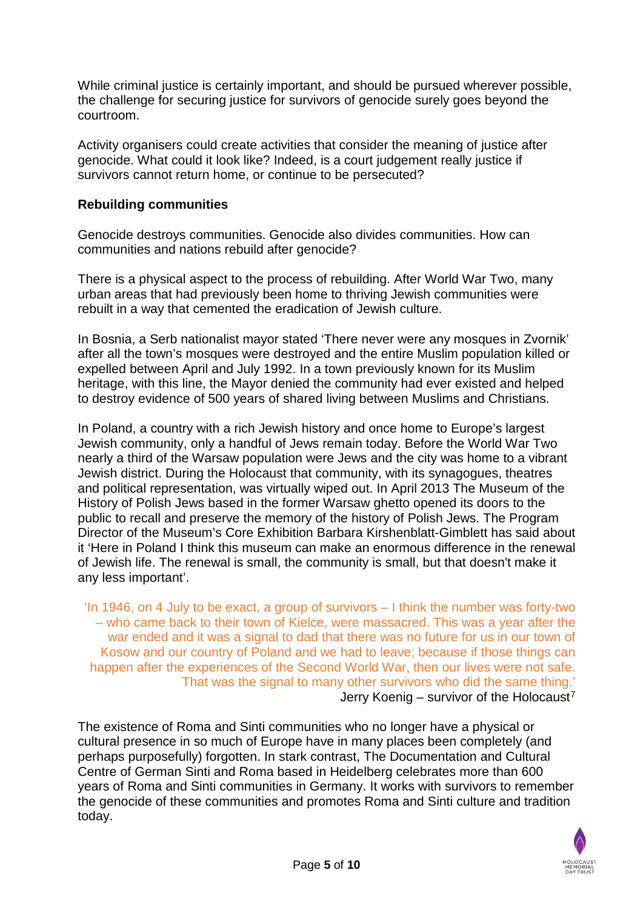While criminal justice is certainly important, and should be pursued wherever possible, the challenge for securing justice for survivors of genocide surely goes beyond the courtroom.

Activity organisers could create activities that consider the meaning of justice after genocide. What could it look like? Indeed, is a court judgement really justice if survivors cannot return home, or continue to be persecuted?

#### **Rebuilding communities**

Genocide destroys communities. Genocide also divides communities. How can communities and nations rebuild after genocide?

There is a physical aspect to the process of rebuilding. After World War Two, many urban areas that had previously been home to thriving Jewish communities were rebuilt in a way that cemented the eradication of Jewish culture.

In Bosnia, a Serb nationalist mayor stated 'There never were any mosques in Zvornik' after all the town's mosques were destroyed and the entire Muslim population killed or expelled between April and July 1992. In a town previously known for its Muslim heritage, with this line, the Mayor denied the community had ever existed and helped to destroy evidence of 500 years of shared living between Muslims and Christians.

In Poland, a country with a rich Jewish history and once home to Europe's largest Jewish community, only a handful of Jews remain today. Before the World War Two nearly a third of the Warsaw population were Jews and the city was home to a vibrant Jewish district. During the Holocaust that community, with its synagogues, theatres and political representation, was virtually wiped out. In April 2013 The Museum of the History of Polish Jews based in the former Warsaw ghetto opened its doors to the public to recall and preserve the memory of the history of Polish Jews. The Program Director of the Museum's Core Exhibition Barbara Kirshenblatt-Gimblett has said about it 'Here in Poland I think this museum can make an enormous difference in the renewal of Jewish life. The renewal is small, the community is small, but that doesn't make it any less important'.

'In 1946, on 4 July to be exact, a group of survivors – I think the number was forty-two – who came back to their town of Kielce, were massacred. This was a year after the war ended and it was a signal to dad that there was no future for us in our town of Kosow and our country of Poland and we had to leave; because if those things can happen after the experiences of the Second World War, then our lives were not safe. That was the signal to many other survivors who did the same thing.' Jerry Koenig – survivor of the Holocaust<sup>[7](#page-9-6)</sup>

The existence of Roma and Sinti communities who no longer have a physical or cultural presence in so much of Europe have in many places been completely (and perhaps purposefully) forgotten. In stark contrast, The Documentation and Cultural Centre of German Sinti and Roma based in Heidelberg celebrates more than 600 years of Roma and Sinti communities in Germany. It works with survivors to remember the genocide of these communities and promotes Roma and Sinti culture and tradition today.

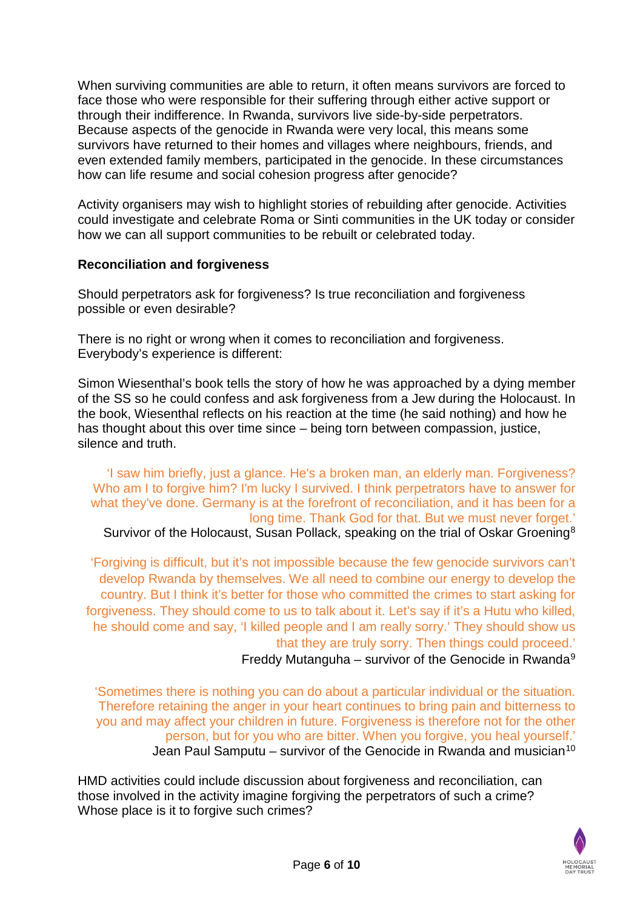When surviving communities are able to return, it often means survivors are forced to face those who were responsible for their suffering through either active support or through their indifference. In Rwanda, survivors live side-by-side perpetrators. Because aspects of the genocide in Rwanda were very local, this means some survivors have returned to their homes and villages where neighbours, friends, and even extended family members, participated in the genocide. In these circumstances how can life resume and social cohesion progress after genocide?

Activity organisers may wish to highlight stories of rebuilding after genocide. Activities could investigate and celebrate Roma or Sinti communities in the UK today or consider how we can all support communities to be rebuilt or celebrated today.

### **Reconciliation and forgiveness**

Should perpetrators ask for forgiveness? Is true reconciliation and forgiveness possible or even desirable?

There is no right or wrong when it comes to reconciliation and forgiveness. Everybody's experience is different:

Simon Wiesenthal's book tells the story of how he was approached by a dying member of the SS so he could confess and ask forgiveness from a Jew during the Holocaust. In the book, Wiesenthal reflects on his reaction at the time (he said nothing) and how he has thought about this over time since – being torn between compassion, justice, silence and truth.

'I saw him briefly, just a glance. He's a broken man, an elderly man. Forgiveness? Who am I to forgive him? I'm lucky I survived. I think perpetrators have to answer for what they've done. Germany is at the forefront of reconciliation, and it has been for a long time. Thank God for that. But we must never forget.' Survivor of the Holocaust, Susan Pollack, speaking on the trial of Oskar Groening<sup>8</sup>

'Forgiving is difficult, but it's not impossible because the few genocide survivors can't develop Rwanda by themselves. We all need to combine our energy to develop the country. But I think it's better for those who committed the crimes to start asking for forgiveness. They should come to us to talk about it. Let's say if it's a Hutu who killed, he should come and say, 'I killed people and I am really sorry.' They should show us that they are truly sorry. Then things could proceed.' Freddy Mutanguha – survivor of the Genocide in Rwanda<sup>9</sup>

'Sometimes there is nothing you can do about a particular individual or the situation. Therefore retaining the anger in your heart continues to bring pain and bitterness to you and may affect your children in future. Forgiveness is therefore not for the other person, but for you who are bitter. When you forgive, you heal yourself.' Jean Paul Samputu – survivor of the Genocide in Rwanda and musician<sup>[10](#page-9-9)</sup>

HMD activities could include discussion about forgiveness and reconciliation, can those involved in the activity imagine forgiving the perpetrators of such a crime? Whose place is it to forgive such crimes?

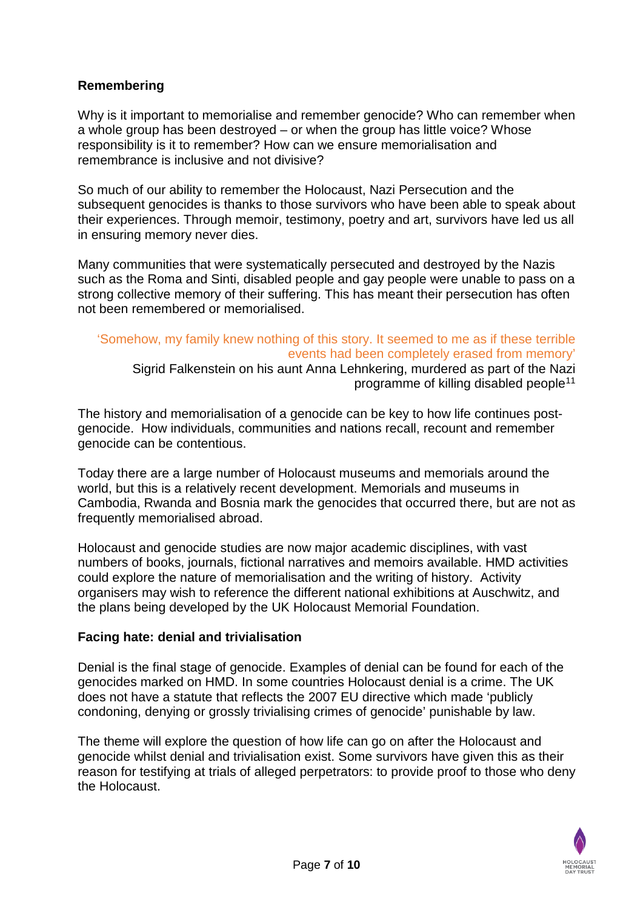## **Remembering**

Why is it important to memorialise and remember genocide? Who can remember when a whole group has been destroyed – or when the group has little voice? Whose responsibility is it to remember? How can we ensure memorialisation and remembrance is inclusive and not divisive?

So much of our ability to remember the Holocaust, Nazi Persecution and the subsequent genocides is thanks to those survivors who have been able to speak about their experiences. Through memoir, testimony, poetry and art, survivors have led us all in ensuring memory never dies.

Many communities that were systematically persecuted and destroyed by the Nazis such as the Roma and Sinti, disabled people and gay people were unable to pass on a strong collective memory of their suffering. This has meant their persecution has often not been remembered or memorialised.

#### 'Somehow, my family knew nothing of this story. It seemed to me as if these terrible events had been completely erased from memory' Sigrid Falkenstein on his aunt Anna Lehnkering, murdered as part of the Nazi programme of killing disabled people[11](#page-9-10)

The history and memorialisation of a genocide can be key to how life continues postgenocide. How individuals, communities and nations recall, recount and remember genocide can be contentious.

Today there are a large number of Holocaust museums and memorials around the world, but this is a relatively recent development. Memorials and museums in Cambodia, Rwanda and Bosnia mark the genocides that occurred there, but are not as frequently memorialised abroad.

Holocaust and genocide studies are now major academic disciplines, with vast numbers of books, journals, fictional narratives and memoirs available. HMD activities could explore the nature of memorialisation and the writing of history. Activity organisers may wish to reference the different national exhibitions at Auschwitz, and the plans being developed by the UK Holocaust Memorial Foundation.

#### **Facing hate: denial and trivialisation**

Denial is the final stage of genocide. Examples of denial can be found for each of the genocides marked on HMD. In some countries Holocaust denial is a crime. The UK does not have a statute that reflects the 2007 EU directive which made 'publicly condoning, denying or grossly trivialising crimes of genocide' punishable by law.

The theme will explore the question of how life can go on after the Holocaust and genocide whilst denial and trivialisation exist. Some survivors have given this as their reason for testifying at trials of alleged perpetrators: to provide proof to those who deny the Holocaust.

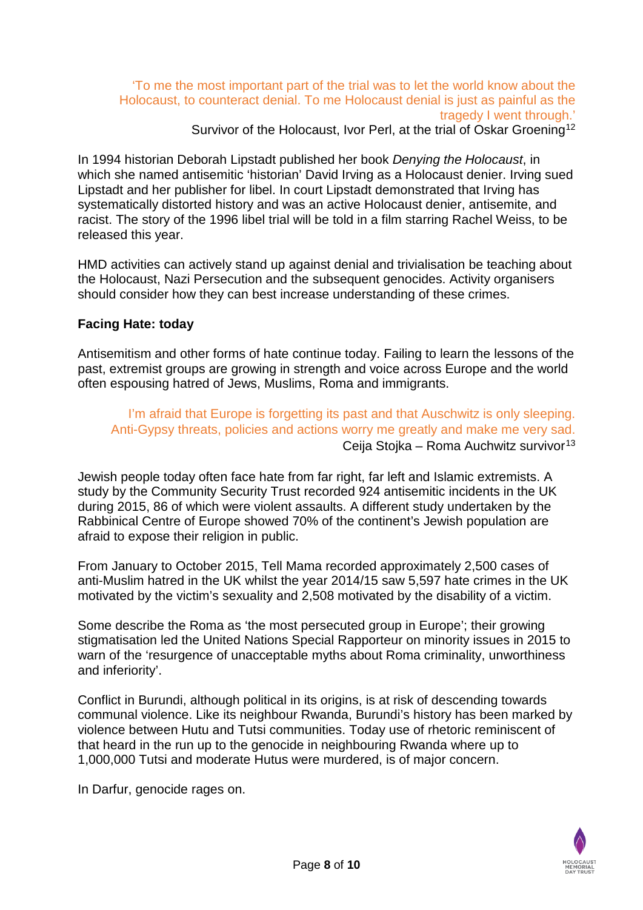## 'To me the most important part of the trial was to let the world know about the Holocaust, to counteract denial. To me Holocaust denial is just as painful as the tragedy I went through.'

Survivor of the Holocaust, Ivor Perl, at the trial of Oskar Groening<sup>[12](#page-9-11)</sup>

In 1994 historian Deborah Lipstadt published her book *Denying the Holocaust*, in which she named antisemitic 'historian' David Irving as a Holocaust denier. Irving sued Lipstadt and her publisher for libel. In court Lipstadt demonstrated that Irving has systematically distorted history and was an active Holocaust denier, antisemite, and racist. The story of the 1996 libel trial will be told in a film starring Rachel Weiss, to be released this year.

HMD activities can actively stand up against denial and trivialisation be teaching about the Holocaust, Nazi Persecution and the subsequent genocides. Activity organisers should consider how they can best increase understanding of these crimes.

### **Facing Hate: today**

Antisemitism and other forms of hate continue today. Failing to learn the lessons of the past, extremist groups are growing in strength and voice across Europe and the world often espousing hatred of Jews, Muslims, Roma and immigrants.

I'm afraid that Europe is forgetting its past and that Auschwitz is only sleeping. Anti-Gypsy threats, policies and actions worry me greatly and make me very sad. Ceija Stojka – Roma Auchwitz survivor<sup>[13](#page-9-12)</sup>

Jewish people today often face hate from far right, far left and Islamic extremists. A study by the Community Security Trust recorded 924 antisemitic incidents in the UK during 2015, 86 of which were violent assaults. A different study undertaken by the Rabbinical Centre of Europe showed 70% of the continent's Jewish population are afraid to expose their religion in public.

From January to October 2015, Tell Mama recorded approximately 2,500 cases of anti-Muslim hatred in the UK whilst the year 2014/15 saw 5,597 hate crimes in the UK motivated by the victim's sexuality and 2,508 motivated by the disability of a victim.

Some describe the Roma as 'the most persecuted group in Europe'; their growing stigmatisation led the United Nations Special Rapporteur on minority issues in 2015 to warn of the 'resurgence of unacceptable myths about Roma criminality, unworthiness and inferiority'.

Conflict in Burundi, although political in its origins, is at risk of descending towards communal violence. Like its neighbour Rwanda, Burundi's history has been marked by violence between Hutu and Tutsi communities. Today use of rhetoric reminiscent of that heard in the run up to the genocide in neighbouring Rwanda where up to 1,000,000 Tutsi and moderate Hutus were murdered, is of major concern.

In Darfur, genocide rages on.

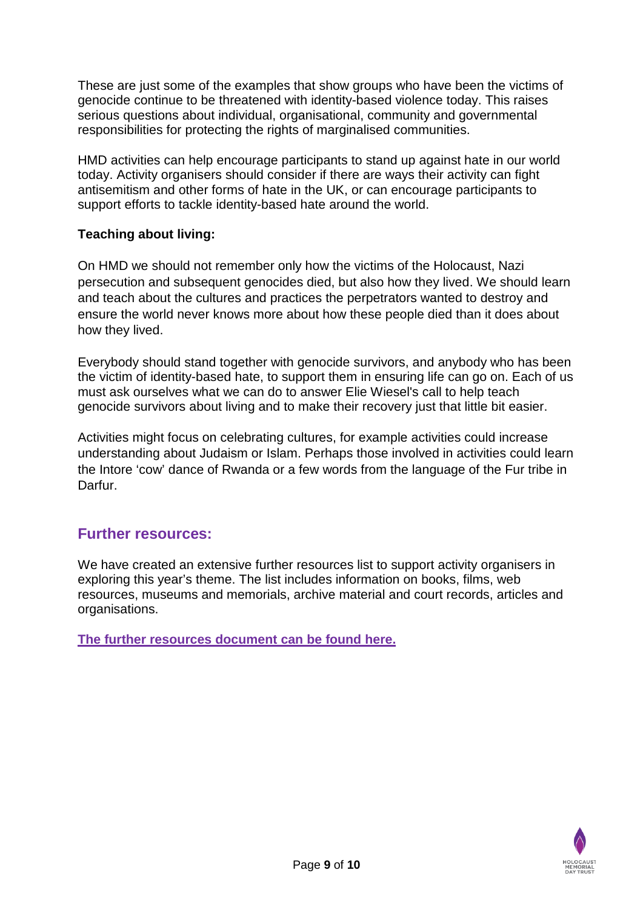These are just some of the examples that show groups who have been the victims of genocide continue to be threatened with identity-based violence today. This raises serious questions about individual, organisational, community and governmental responsibilities for protecting the rights of marginalised communities.

HMD activities can help encourage participants to stand up against hate in our world today. Activity organisers should consider if there are ways their activity can fight antisemitism and other forms of hate in the UK, or can encourage participants to support efforts to tackle identity-based hate around the world.

## **Teaching about living:**

On HMD we should not remember only how the victims of the Holocaust, Nazi persecution and subsequent genocides died, but also how they lived. We should learn and teach about the cultures and practices the perpetrators wanted to destroy and ensure the world never knows more about how these people died than it does about how they lived.

Everybody should stand together with genocide survivors, and anybody who has been the victim of identity-based hate, to support them in ensuring life can go on. Each of us must ask ourselves what we can do to answer Elie Wiesel's call to help teach genocide survivors about living and to make their recovery just that little bit easier.

Activities might focus on celebrating cultures, for example activities could increase understanding about Judaism or Islam. Perhaps those involved in activities could learn the Intore 'cow' dance of Rwanda or a few words from the language of the Fur tribe in Darfur.

# **Further resources:**

We have created an extensive further resources list to support activity organisers in exploring this year's theme. The list includes information on books, films, web resources, museums and memorials, archive material and court records, articles and organisations.

**[The further resources document can be found here.](http://hmd.org.uk/sites/default/files/hmd_2017_theme_vision_further_resources.pdf)**